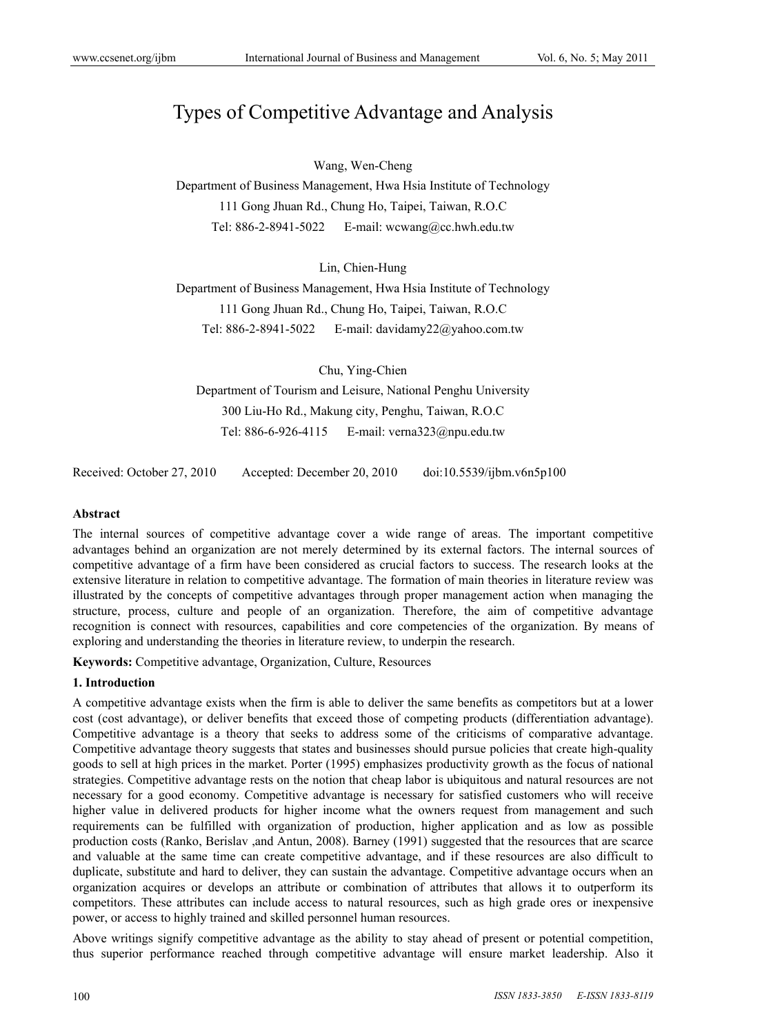# Types of Competitive Advantage and Analysis

Wang, Wen-Cheng

Department of Business Management, Hwa Hsia Institute of Technology 111 Gong Jhuan Rd., Chung Ho, Taipei, Taiwan, R.O.C Tel: 886-2-8941-5022 E-mail: wcwang@cc.hwh.edu.tw

Lin, Chien-Hung Department of Business Management, Hwa Hsia Institute of Technology 111 Gong Jhuan Rd., Chung Ho, Taipei, Taiwan, R.O.C Tel: 886-2-8941-5022 E-mail: davidamy22@yahoo.com.tw

Chu, Ying-Chien Department of Tourism and Leisure, National Penghu University 300 Liu-Ho Rd., Makung city, Penghu, Taiwan, R.O.C Tel: 886-6-926-4115 E-mail: verna323@npu.edu.tw

Received: October 27, 2010 Accepted: December 20, 2010 doi:10.5539/ijbm.v6n5p100

#### **Abstract**

The internal sources of competitive advantage cover a wide range of areas. The important competitive advantages behind an organization are not merely determined by its external factors. The internal sources of competitive advantage of a firm have been considered as crucial factors to success. The research looks at the extensive literature in relation to competitive advantage. The formation of main theories in literature review was illustrated by the concepts of competitive advantages through proper management action when managing the structure, process, culture and people of an organization. Therefore, the aim of competitive advantage recognition is connect with resources, capabilities and core competencies of the organization. By means of exploring and understanding the theories in literature review, to underpin the research.

**Keywords:** Competitive advantage, Organization, Culture, Resources

## **1. Introduction**

A competitive advantage exists when the firm is able to deliver the same benefits as competitors but at a lower cost (cost advantage), or deliver benefits that exceed those of competing products (differentiation advantage). Competitive advantage is a theory that seeks to address some of the criticisms of comparative advantage. Competitive advantage theory suggests that states and businesses should pursue policies that create high-quality goods to sell at high prices in the market. Porter (1995) emphasizes productivity growth as the focus of national strategies. Competitive advantage rests on the notion that cheap labor is ubiquitous and natural resources are not necessary for a good economy. Competitive advantage is necessary for satisfied customers who will receive higher value in delivered products for higher income what the owners request from management and such requirements can be fulfilled with organization of production, higher application and as low as possible production costs (Ranko, Berislav ,and Antun, 2008). Barney (1991) suggested that the resources that are scarce and valuable at the same time can create competitive advantage, and if these resources are also difficult to duplicate, substitute and hard to deliver, they can sustain the advantage. Competitive advantage occurs when an organization acquires or develops an attribute or combination of attributes that allows it to outperform its competitors. These attributes can include access to natural resources, such as high grade ores or inexpensive power, or access to highly trained and skilled personnel human resources.

Above writings signify competitive advantage as the ability to stay ahead of present or potential competition, thus superior performance reached through competitive advantage will ensure market leadership. Also it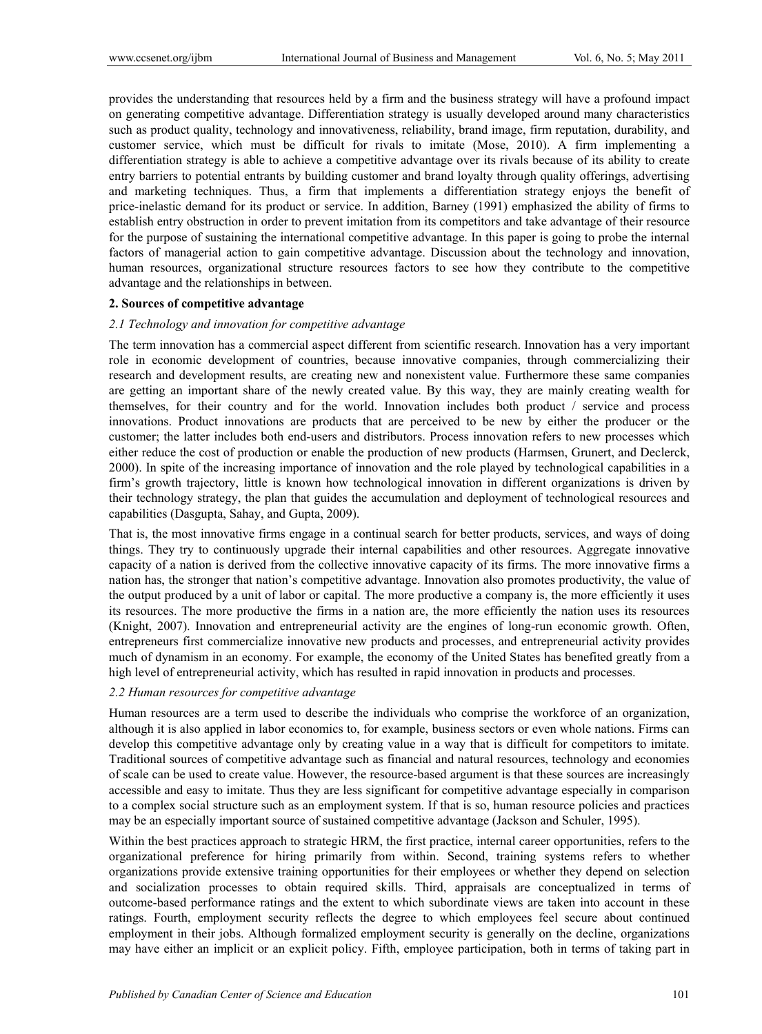provides the understanding that resources held by a firm and the business strategy will have a profound impact on generating competitive advantage. Differentiation strategy is usually developed around many characteristics such as product quality, technology and innovativeness, reliability, brand image, firm reputation, durability, and customer service, which must be difficult for rivals to imitate (Mose, 2010). A firm implementing a differentiation strategy is able to achieve a competitive advantage over its rivals because of its ability to create entry barriers to potential entrants by building customer and brand loyalty through quality offerings, advertising and marketing techniques. Thus, a firm that implements a differentiation strategy enjoys the benefit of price-inelastic demand for its product or service. In addition, Barney (1991) emphasized the ability of firms to establish entry obstruction in order to prevent imitation from its competitors and take advantage of their resource for the purpose of sustaining the international competitive advantage. In this paper is going to probe the internal factors of managerial action to gain competitive advantage. Discussion about the technology and innovation, human resources, organizational structure resources factors to see how they contribute to the competitive advantage and the relationships in between.

#### **2. Sources of competitive advantage**

#### *2.1 Technology and innovation for competitive advantage*

The term innovation has a commercial aspect different from scientific research. Innovation has a very important role in economic development of countries, because innovative companies, through commercializing their research and development results, are creating new and nonexistent value. Furthermore these same companies are getting an important share of the newly created value. By this way, they are mainly creating wealth for themselves, for their country and for the world. Innovation includes both product / service and process innovations. Product innovations are products that are perceived to be new by either the producer or the customer; the latter includes both end-users and distributors. Process innovation refers to new processes which either reduce the cost of production or enable the production of new products (Harmsen, Grunert, and Declerck, 2000). In spite of the increasing importance of innovation and the role played by technological capabilities in a firm's growth trajectory, little is known how technological innovation in different organizations is driven by their technology strategy, the plan that guides the accumulation and deployment of technological resources and capabilities (Dasgupta, Sahay, and Gupta, 2009).

That is, the most innovative firms engage in a continual search for better products, services, and ways of doing things. They try to continuously upgrade their internal capabilities and other resources. Aggregate innovative capacity of a nation is derived from the collective innovative capacity of its firms. The more innovative firms a nation has, the stronger that nation's competitive advantage. Innovation also promotes productivity, the value of the output produced by a unit of labor or capital. The more productive a company is, the more efficiently it uses its resources. The more productive the firms in a nation are, the more efficiently the nation uses its resources (Knight, 2007). Innovation and entrepreneurial activity are the engines of long-run economic growth. Often, entrepreneurs first commercialize innovative new products and processes, and entrepreneurial activity provides much of dynamism in an economy. For example, the economy of the United States has benefited greatly from a high level of entrepreneurial activity, which has resulted in rapid innovation in products and processes.

#### *2.2 Human resources for competitive advantage*

Human resources are a term used to describe the individuals who comprise the workforce of an organization, although it is also applied in labor economics to, for example, business sectors or even whole nations. Firms can develop this competitive advantage only by creating value in a way that is difficult for competitors to imitate. Traditional sources of competitive advantage such as financial and natural resources, technology and economies of scale can be used to create value. However, the resource-based argument is that these sources are increasingly accessible and easy to imitate. Thus they are less significant for competitive advantage especially in comparison to a complex social structure such as an employment system. If that is so, human resource policies and practices may be an especially important source of sustained competitive advantage (Jackson and Schuler, 1995).

Within the best practices approach to strategic HRM, the first practice, internal career opportunities, refers to the organizational preference for hiring primarily from within. Second, training systems refers to whether organizations provide extensive training opportunities for their employees or whether they depend on selection and socialization processes to obtain required skills. Third, appraisals are conceptualized in terms of outcome-based performance ratings and the extent to which subordinate views are taken into account in these ratings. Fourth, employment security reflects the degree to which employees feel secure about continued employment in their jobs. Although formalized employment security is generally on the decline, organizations may have either an implicit or an explicit policy. Fifth, employee participation, both in terms of taking part in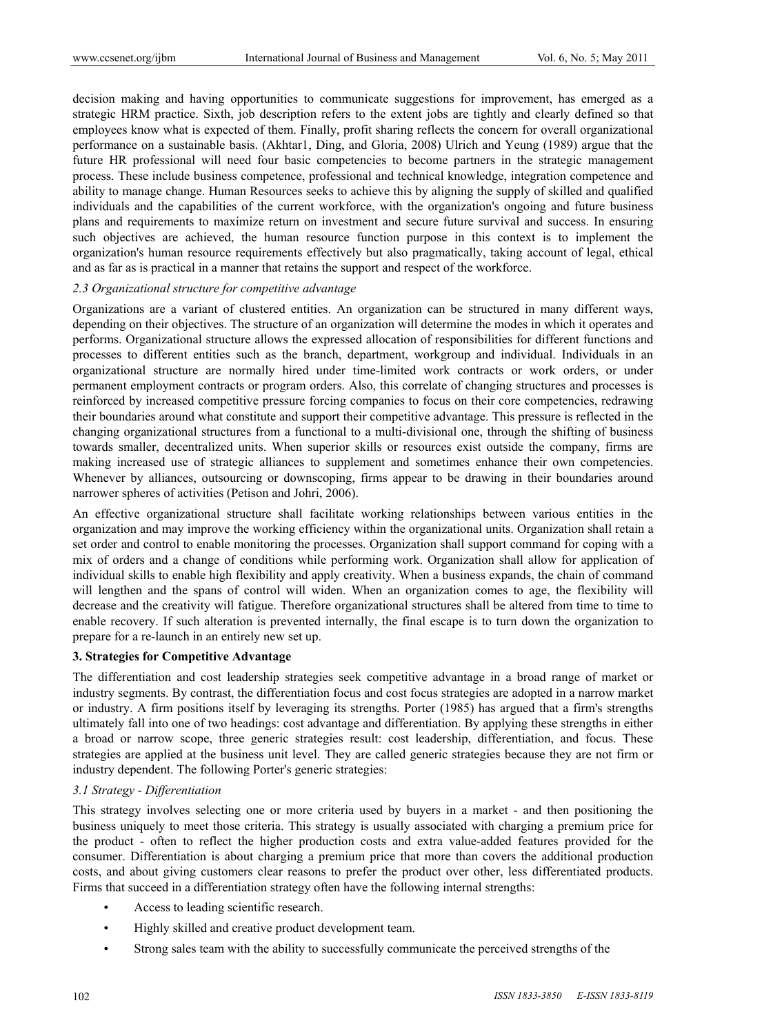decision making and having opportunities to communicate suggestions for improvement, has emerged as a strategic HRM practice. Sixth, job description refers to the extent jobs are tightly and clearly defined so that employees know what is expected of them. Finally, profit sharing reflects the concern for overall organizational performance on a sustainable basis. (Akhtar1, Ding, and Gloria, 2008) Ulrich and Yeung (1989) argue that the future HR professional will need four basic competencies to become partners in the strategic management process. These include business competence, professional and technical knowledge, integration competence and ability to manage change. Human Resources seeks to achieve this by aligning the supply of skilled and qualified individuals and the capabilities of the current workforce, with the organization's ongoing and future business plans and requirements to maximize return on investment and secure future survival and success. In ensuring such objectives are achieved, the human resource function purpose in this context is to implement the organization's human resource requirements effectively but also pragmatically, taking account of legal, ethical and as far as is practical in a manner that retains the support and respect of the workforce.

#### *2.3 Organizational structure for competitive advantage*

Organizations are a variant of clustered entities. An organization can be structured in many different ways, depending on their objectives. The structure of an organization will determine the modes in which it operates and performs. Organizational structure allows the expressed allocation of responsibilities for different functions and processes to different entities such as the branch, department, workgroup and individual. Individuals in an organizational structure are normally hired under time-limited work contracts or work orders, or under permanent employment contracts or program orders. Also, this correlate of changing structures and processes is reinforced by increased competitive pressure forcing companies to focus on their core competencies, redrawing their boundaries around what constitute and support their competitive advantage. This pressure is reflected in the changing organizational structures from a functional to a multi-divisional one, through the shifting of business towards smaller, decentralized units. When superior skills or resources exist outside the company, firms are making increased use of strategic alliances to supplement and sometimes enhance their own competencies. Whenever by alliances, outsourcing or downscoping, firms appear to be drawing in their boundaries around narrower spheres of activities (Petison and Johri, 2006).

An effective organizational structure shall facilitate working relationships between various entities in the organization and may improve the working efficiency within the organizational units. Organization shall retain a set order and control to enable monitoring the processes. Organization shall support command for coping with a mix of orders and a change of conditions while performing work. Organization shall allow for application of individual skills to enable high flexibility and apply creativity. When a business expands, the chain of command will lengthen and the spans of control will widen. When an organization comes to age, the flexibility will decrease and the creativity will fatigue. Therefore organizational structures shall be altered from time to time to enable recovery. If such alteration is prevented internally, the final escape is to turn down the organization to prepare for a re-launch in an entirely new set up.

## **3. Strategies for Competitive Advantage**

The differentiation and cost leadership strategies seek competitive advantage in a broad range of market or industry segments. By contrast, the differentiation focus and cost focus strategies are adopted in a narrow market or industry. A firm positions itself by leveraging its strengths. Porter (1985) has argued that a firm's strengths ultimately fall into one of two headings: cost advantage and differentiation. By applying these strengths in either a broad or narrow scope, three generic strategies result: cost leadership, differentiation, and focus. These strategies are applied at the business unit level. They are called generic strategies because they are not firm or industry dependent. The following Porter's generic strategies:

## *3.1 Strategy - Differentiation*

This strategy involves selecting one or more criteria used by buyers in a market - and then positioning the business uniquely to meet those criteria. This strategy is usually associated with charging a premium price for the product - often to reflect the higher production costs and extra value-added features provided for the consumer. Differentiation is about charging a premium price that more than covers the additional production costs, and about giving customers clear reasons to prefer the product over other, less differentiated products. Firms that succeed in a differentiation strategy often have the following internal strengths:

- Access to leading scientific research.
- Highly skilled and creative product development team.
- Strong sales team with the ability to successfully communicate the perceived strengths of the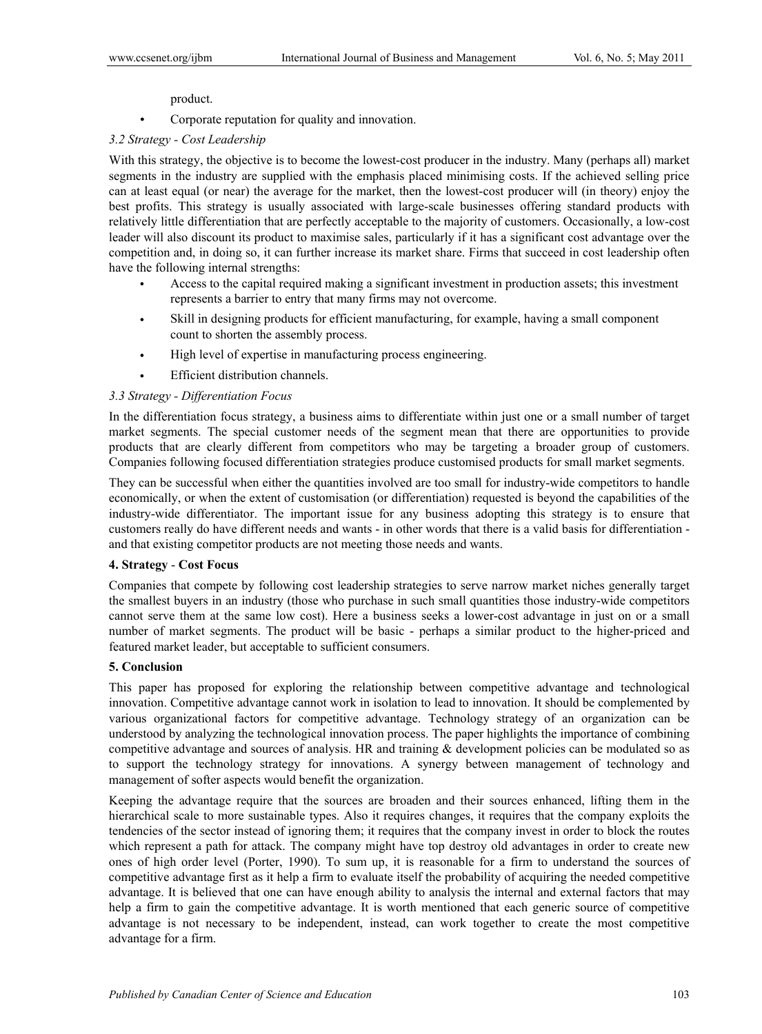product.

Corporate reputation for quality and innovation.

# *3.2 Strategy - Cost Leadership*

With this strategy, the objective is to become the lowest-cost producer in the industry. Many (perhaps all) market segments in the industry are supplied with the emphasis placed minimising costs. If the achieved selling price can at least equal (or near) the average for the market, then the lowest-cost producer will (in theory) enjoy the best profits. This strategy is usually associated with large-scale businesses offering standard products with relatively little differentiation that are perfectly acceptable to the majority of customers. Occasionally, a low-cost leader will also discount its product to maximise sales, particularly if it has a significant cost advantage over the competition and, in doing so, it can further increase its market share. Firms that succeed in cost leadership often have the following internal strengths:

- Access to the capital required making a significant investment in production assets; this investment represents a barrier to entry that many firms may not overcome.
- Skill in designing products for efficient manufacturing, for example, having a small component count to shorten the assembly process.
- High level of expertise in manufacturing process engineering.
- Efficient distribution channels.

## *3.3 Strategy - Differentiation Focus*

In the differentiation focus strategy, a business aims to differentiate within just one or a small number of target market segments. The special customer needs of the segment mean that there are opportunities to provide products that are clearly different from competitors who may be targeting a broader group of customers. Companies following focused differentiation strategies produce customised products for small market segments.

They can be successful when either the quantities involved are too small for industry-wide competitors to handle economically, or when the extent of customisation (or differentiation) requested is beyond the capabilities of the industry-wide differentiator. The important issue for any business adopting this strategy is to ensure that customers really do have different needs and wants - in other words that there is a valid basis for differentiation and that existing competitor products are not meeting those needs and wants.

## **4. Strategy** - **Cost Focus**

Companies that compete by following cost leadership strategies to serve narrow market niches generally target the smallest buyers in an industry (those who purchase in such small quantities those industry-wide competitors cannot serve them at the same low cost). Here a business seeks a lower-cost advantage in just on or a small number of market segments. The product will be basic - perhaps a similar product to the higher-priced and featured market leader, but acceptable to sufficient consumers.

## **5. Conclusion**

This paper has proposed for exploring the relationship between competitive advantage and technological innovation. Competitive advantage cannot work in isolation to lead to innovation. It should be complemented by various organizational factors for competitive advantage. Technology strategy of an organization can be understood by analyzing the technological innovation process. The paper highlights the importance of combining competitive advantage and sources of analysis. HR and training & development policies can be modulated so as to support the technology strategy for innovations. A synergy between management of technology and management of softer aspects would benefit the organization.

Keeping the advantage require that the sources are broaden and their sources enhanced, lifting them in the hierarchical scale to more sustainable types. Also it requires changes, it requires that the company exploits the tendencies of the sector instead of ignoring them; it requires that the company invest in order to block the routes which represent a path for attack. The company might have top destroy old advantages in order to create new ones of high order level (Porter, 1990). To sum up, it is reasonable for a firm to understand the sources of competitive advantage first as it help a firm to evaluate itself the probability of acquiring the needed competitive advantage. It is believed that one can have enough ability to analysis the internal and external factors that may help a firm to gain the competitive advantage. It is worth mentioned that each generic source of competitive advantage is not necessary to be independent, instead, can work together to create the most competitive advantage for a firm.